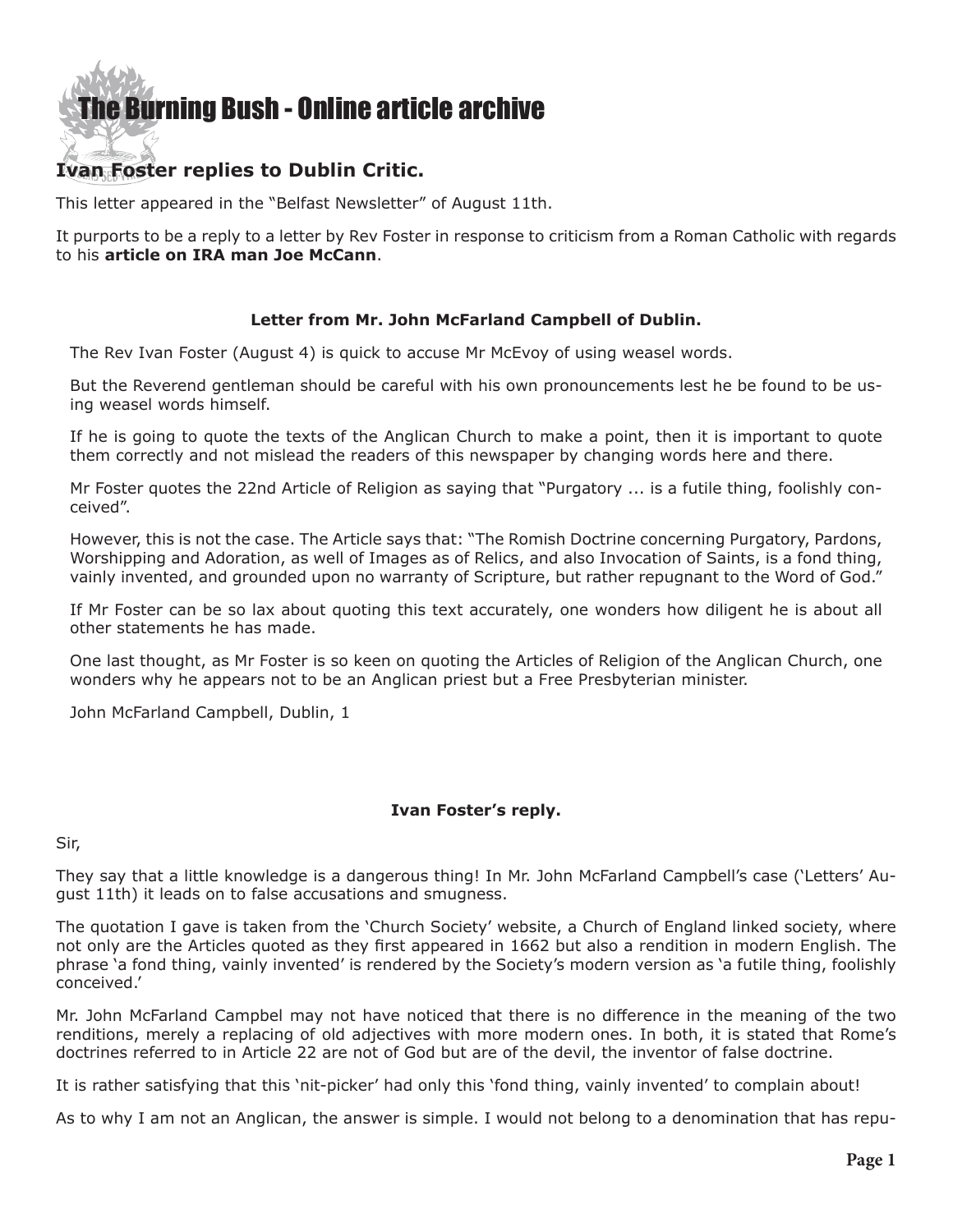## [The Burning Bush - Online article archive](http://www.ivanfoster.net)

## **Ivan Foster replies to Dublin Critic.**

This letter appeared in the "Belfast Newsletter" of August 11th.

It purports to be a reply to a letter by Rev Foster in response to criticism from a Roman Catholic with regards to his **[article on IRA man Joe McCann](http://www.ivanfoster.net/pdf/July1607.pdf)**.

## **Letter from Mr. John McFarland Campbell of Dublin.**

The Rev Ivan Foster (August 4) is quick to accuse Mr McEvoy of using weasel words.

But the Reverend gentleman should be careful with his own pronouncements lest he be found to be using weasel words himself.

If he is going to quote the texts of the Anglican Church to make a point, then it is important to quote them correctly and not mislead the readers of this newspaper by changing words here and there.

Mr Foster quotes the 22nd Article of Religion as saying that "Purgatory ... is a futile thing, foolishly conceived".

However, this is not the case. The Article says that: "The Romish Doctrine concerning Purgatory, Pardons, Worshipping and Adoration, as well of Images as of Relics, and also Invocation of Saints, is a fond thing, vainly invented, and grounded upon no warranty of Scripture, but rather repugnant to the Word of God."

If Mr Foster can be so lax about quoting this text accurately, one wonders how diligent he is about all other statements he has made.

One last thought, as Mr Foster is so keen on quoting the Articles of Religion of the Anglican Church, one wonders why he appears not to be an Anglican priest but a Free Presbyterian minister.

John McFarland Campbell, Dublin, 1

## **Ivan Foster's reply.**

Sir,

They say that a little knowledge is a dangerous thing! In Mr. John McFarland Campbell's case ('Letters' August 11th) it leads on to false accusations and smugness.

The quotation I gave is taken from the 'Church Society' website, a Church of England linked society, where not only are the Articles quoted as they first appeared in 1662 but also a rendition in modern English. The phrase 'a fond thing, vainly invented' is rendered by the Society's modern version as 'a futile thing, foolishly conceived.'

Mr. John McFarland Campbel may not have noticed that there is no difference in the meaning of the two renditions, merely a replacing of old adjectives with more modern ones. In both, it is stated that Rome's doctrines referred to in Article 22 are not of God but are of the devil, the inventor of false doctrine.

It is rather satisfying that this 'nit-picker' had only this 'fond thing, vainly invented' to complain about!

As to why I am not an Anglican, the answer is simple. I would not belong to a denomination that has repu-